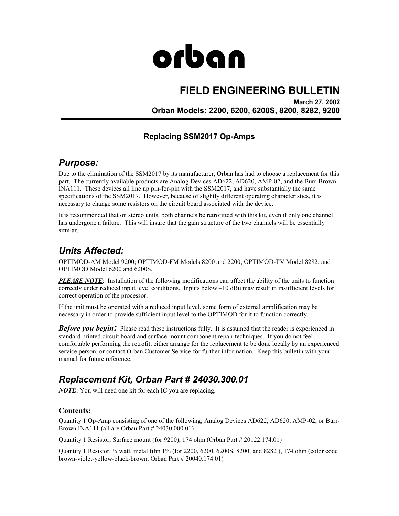# orban

# **FIELD ENGINEERING BULLETIN**

**March 27, 2002 Orban Models: 2200, 6200, 6200S, 8200, 8282, 9200** 

## **Replacing SSM2017 Op-Amps**

## *Purpose:*

Due to the elimination of the SSM2017 by its manufacturer, Orban has had to choose a replacement for this part. The currently available products are Analog Devices AD622, AD620, AMP-02, and the Burr-Brown INA111. These devices all line up pin-for-pin with the SSM2017, and have substantially the same specifications of the SSM2017. However, because of slightly different operating characteristics, it is necessary to change some resistors on the circuit board associated with the device.

It is recommended that on stereo units, both channels be retrofitted with this kit, even if only one channel has undergone a failure. This will insure that the gain structure of the two channels will be essentially similar.

## *Units Affected:*

OPTIMOD-AM Model 9200; OPTIMOD-FM Models 8200 and 2200; OPTIMOD-TV Model 8282; and OPTIMOD Model 6200 and 6200S.

*PLEASE NOTE*: Installation of the following modifications can affect the ability of the units to function correctly under reduced input level conditions. Inputs below –10 dBu may result in insufficient levels for correct operation of the processor.

If the unit must be operated with a reduced input level, some form of external amplification may be necessary in order to provide sufficient input level to the OPTIMOD for it to function correctly.

*Before you begin*: Please read these instructions fully. It is assumed that the reader is experienced in standard printed circuit board and surface-mount component repair techniques. If you do not feel comfortable performing the retrofit, either arrange for the replacement to be done locally by an experienced service person, or contact Orban Customer Service for further information. Keep this bulletin with your manual for future reference.

## *Replacement Kit, Orban Part # 24030.300.01*

*NOTE*: You will need one kit for each IC you are replacing.

#### **Contents:**

Quantity 1 Op-Amp consisting of one of the following; Analog Devices AD622, AD620, AMP-02, or Burr-Brown INA111 (all are Orban Part # 24030.000.01)

Quantity 1 Resistor, Surface mount (for 9200), 174 ohm (Orban Part # 20122.174.01)

Quantity 1 Resistor, ¼ watt, metal film 1% (for 2200, 6200, 6200S, 8200, and 8282 ), 174 ohm (color code brown-violet-yellow-black-brown, Orban Part # 20040.174.01)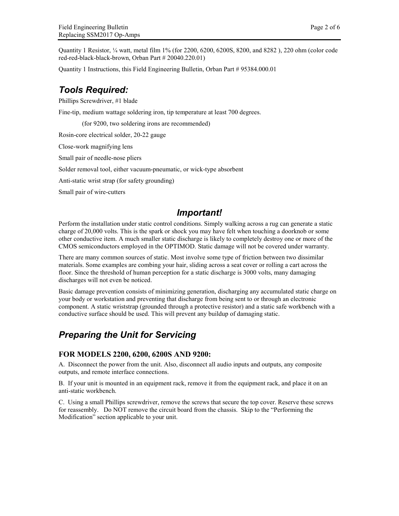Quantity 1 Resistor, ¼ watt, metal film 1% (for 2200, 6200, 6200S, 8200, and 8282 ), 220 ohm (color code red-red-black-black-brown, Orban Part # 20040.220.01)

Quantity 1 Instructions, this Field Engineering Bulletin, Orban Part # 95384.000.01

## *Tools Required:*

Phillips Screwdriver, #1 blade

Fine-tip, medium wattage soldering iron, tip temperature at least 700 degrees.

(for 9200, two soldering irons are recommended)

Rosin-core electrical solder, 20-22 gauge

Close-work magnifying lens

Small pair of needle-nose pliers

Solder removal tool, either vacuum-pneumatic, or wick-type absorbent

Anti-static wrist strap (for safety grounding)

Small pair of wire-cutters

### *Important!*

Perform the installation under static control conditions. Simply walking across a rug can generate a static charge of 20,000 volts. This is the spark or shock you may have felt when touching a doorknob or some other conductive item. A much smaller static discharge is likely to completely destroy one or more of the CMOS semiconductors employed in the OPTIMOD. Static damage will not be covered under warranty.

There are many common sources of static. Most involve some type of friction between two dissimilar materials. Some examples are combing your hair, sliding across a seat cover or rolling a cart across the floor. Since the threshold of human perception for a static discharge is 3000 volts, many damaging discharges will not even be noticed.

Basic damage prevention consists of minimizing generation, discharging any accumulated static charge on your body or workstation and preventing that discharge from being sent to or through an electronic component. A static wriststrap (grounded through a protective resistor) and a static safe workbench with a conductive surface should be used. This will prevent any buildup of damaging static.

## *Preparing the Unit for Servicing*

#### **FOR MODELS 2200, 6200, 6200S AND 9200:**

A. Disconnect the power from the unit. Also, disconnect all audio inputs and outputs, any composite outputs, and remote interface connections.

B. If your unit is mounted in an equipment rack, remove it from the equipment rack, and place it on an anti-static workbench.

C. Using a small Phillips screwdriver, remove the screws that secure the top cover. Reserve these screws for reassembly. Do NOT remove the circuit board from the chassis. Skip to the "Performing the Modification" section applicable to your unit.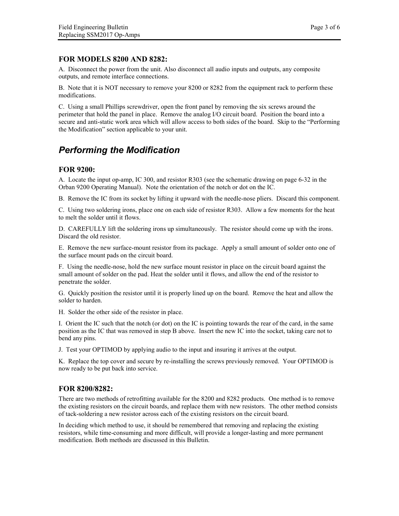#### **FOR MODELS 8200 AND 8282:**

A. Disconnect the power from the unit. Also disconnect all audio inputs and outputs, any composite outputs, and remote interface connections.

B. Note that it is NOT necessary to remove your 8200 or 8282 from the equipment rack to perform these modifications.

C. Using a small Phillips screwdriver, open the front panel by removing the six screws around the perimeter that hold the panel in place. Remove the analog I/O circuit board. Position the board into a secure and anti-static work area which will allow access to both sides of the board. Skip to the "Performing the Modification" section applicable to your unit.

# *Performing the Modification*

#### **FOR 9200:**

A. Locate the input op-amp, IC 300, and resistor R303 (see the schematic drawing on page 6-32 in the Orban 9200 Operating Manual). Note the orientation of the notch or dot on the IC.

B. Remove the IC from its socket by lifting it upward with the needle-nose pliers. Discard this component.

C. Using two soldering irons, place one on each side of resistor R303. Allow a few moments for the heat to melt the solder until it flows.

D. CAREFULLY lift the soldering irons up simultaneously. The resistor should come up with the irons. Discard the old resistor.

E. Remove the new surface-mount resistor from its package. Apply a small amount of solder onto one of the surface mount pads on the circuit board.

F. Using the needle-nose, hold the new surface mount resistor in place on the circuit board against the small amount of solder on the pad. Heat the solder until it flows, and allow the end of the resistor to penetrate the solder.

G. Quickly position the resistor until it is properly lined up on the board. Remove the heat and allow the solder to harden.

H. Solder the other side of the resistor in place.

I. Orient the IC such that the notch (or dot) on the IC is pointing towards the rear of the card, in the same position as the IC that was removed in step B above. Insert the new IC into the socket, taking care not to bend any pins.

J. Test your OPTIMOD by applying audio to the input and insuring it arrives at the output.

K. Replace the top cover and secure by re-installing the screws previously removed. Your OPTIMOD is now ready to be put back into service.

#### **FOR 8200/8282:**

There are two methods of retrofitting available for the 8200 and 8282 products. One method is to remove the existing resistors on the circuit boards, and replace them with new resistors. The other method consists of tack-soldering a new resistor across each of the existing resistors on the circuit board.

In deciding which method to use, it should be remembered that removing and replacing the existing resistors, while time-consuming and more difficult, will provide a longer-lasting and more permanent modification. Both methods are discussed in this Bulletin.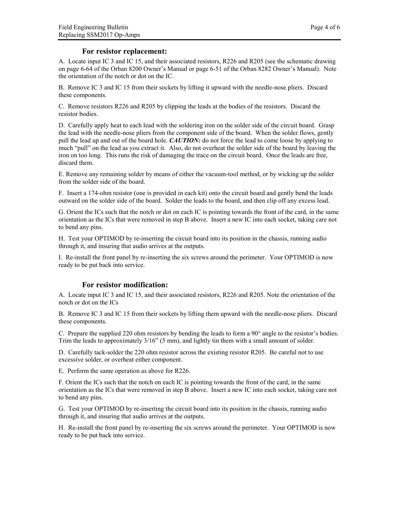#### **For resistor replacement:**

A. Locate input IC 3 and IC 15, and their associated resistors, R226 and R205 (see the schematic drawing on page 6-64 of the Orban 8200 Owner's Manual or page 6-51 of the Orban 8282 Owner's Manual). Note the orientation of the notch or dot on the IC.

B. Remove IC 3 and IC 15 from their sockets by lifting it upward with the needle-nose pliers. Discard these components.

C. Remove resistors R226 and R205 by clipping the leads at the bodies of the resistors. Discard the resistor bodies.

D. Carefully apply heat to each lead with the soldering iron on the solder side of the circuit board. Grasp the lead with the needle-nose pliers from the component side of the board. When the solder flows, gently pull the lead up and out of the board hole. *CAUTION:* do not force the lead to come loose by applying to much "pull" on the lead as you extract it. Also, do not overheat the solder side of the board by leaving the iron on too long. This runs the risk of damaging the trace on the circuit board. Once the leads are free, discard them.

E. Remove any remaining solder by means of either the vacuum-tool method, or by wicking up the solder from the solder side of the board.

F. Insert a 174-ohm resistor (one is provided in each kit) onto the circuit board and gently bend the leads outward on the solder side of the board. Solder the leads to the board, and then clip off any excess lead.

G. Orient the ICs such that the notch or dot on each IC is pointing towards the front of the card, in the same orientation as the ICs that were removed in step B above. Insert a new IC into each socket, taking care not to bend any pins.

H. Test your OPTIMOD by re-inserting the circuit board into its position in the chassis, running audio through it, and insuring that audio arrives at the outputs.

I. Re-install the front panel by re-inserting the six screws around the perimeter. Your OPTIMOD is now ready to be put back into service.

#### **For resistor modification:**

A. Locate input IC 3 and IC 15, and their associated resistors, R226 and R205. Note the orientation of the notch or dot on the ICs

B. Remove IC 3 and IC 15 from their sockets by lifting them upward with the needle-nose pliers. Discard these components.

C. Prepare the supplied 220 ohm resistors by bending the leads to form a 90° angle to the resistor's bodies. Trim the leads to approximately 3/16" (5 mm), and lightly tin them with a small amount of solder.

D. Carefully tack-solder the 220 ohm resistor across the existing resistor R205. Be careful not to use excessive solder, or overheat either component.

E. Perform the same operation as above for R226.

F. Orient the ICs such that the notch on each IC is pointing towards the front of the card, in the same orientation as the ICs that were removed in step B above. Insert a new IC into each socket, taking care not to bend any pins.

G. Test your OPTIMOD by re-inserting the circuit board into its position in the chassis, running audio through it, and insuring that audio arrives at the outputs.

H. Re-install the front panel by re-inserting the six screws around the perimeter. Your OPTIMOD is now ready to be put back into service.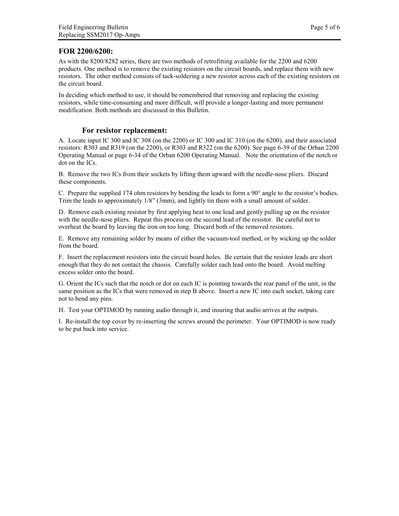#### **FOR 2200/6200:**

As with the 8200/8282 series, there are two methods of retrofitting available for the 2200 and 6200 products. One method is to remove the existing resistors on the circuit boards, and replace them with new resistors. The other method consists of tack-soldering a new resistor across each of the existing resistors on the circuit board.

In deciding which method to use, it should be remembered that removing and replacing the existing resistors, while time-consuming and more difficult, will provide a longer-lasting and more permanent modification. Both methods are discussed in this Bulletin.

#### **For resistor replacement:**

A. Locate input IC 300 and IC 308 (on the 2200) or IC 300 and IC 310 (on the 6200), and their associated resistors: R303 and R319 (on the 2200), or R303 and R322 (on the 6200). See page 6-39 of the Orban 2200 Operating Manual or page 6-34 of the Orban 6200 Operating Manual. Note the orientation of the notch or dot on the ICs.

B. Remove the two ICs from their sockets by lifting them upward with the needle-nose pliers. Discard these components.

C. Prepare the supplied 174 ohm resistors by bending the leads to form a 90° angle to the resistor's bodies. Trim the leads to approximately 1/8" (3mm), and lightly tin them with a small amount of solder.

D. Remove each existing resistor by first applying heat to one lead and gently pulling up on the resistor with the needle-nose pliers. Repeat this process on the second lead of the resistor. Be careful not to overheat the board by leaving the iron on too long. Discard both of the removed resistors.

E. Remove any remaining solder by means of either the vacuum-tool method, or by wicking up the solder from the board.

F. Insert the replacement resistors into the circuit board holes. Be certain that the resistor leads are short enough that they do not contact the chassis. Carefully solder each lead onto the board. Avoid melting excess solder onto the board.

G. Orient the ICs such that the notch or dot on each IC is pointing towards the rear panel of the unit, in the same position as the ICs that were removed in step B above. Insert a new IC into each socket, taking care not to bend any pins.

H. Test your OPTIMOD by running audio through it, and insuring that audio arrives at the outputs.

I. Re-install the top cover by re-inserting the screws around the perimeter. Your OPTIMOD is now ready to be put back into service.